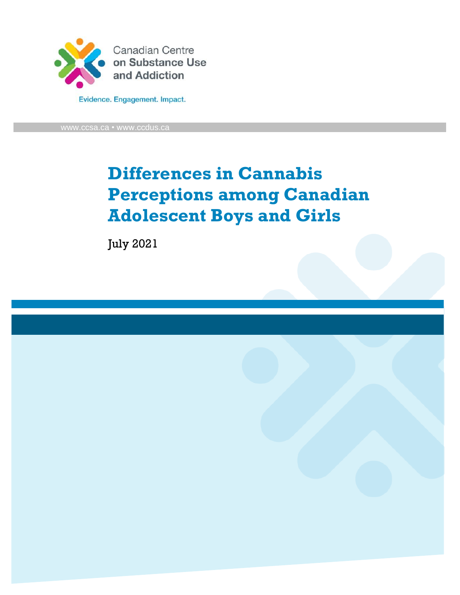

[www.ccsa.ca](http://www.ccsa.ca/) • www.ccdus.ca

# **Differences in Cannabis Perceptions among Canadian Adolescent Boys and Girls**

July 2021

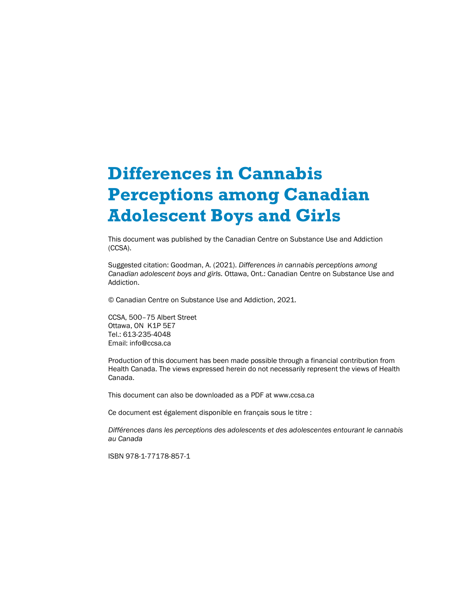# **Differences in Cannabis Perceptions among Canadian Adolescent Boys and Girls**

This document was published by the Canadian Centre on Substance Use and Addiction (CCSA).

Suggested citation: Goodman, A. (2021). *Differences in cannabis perceptions among Canadian adolescent boys and girls.* Ottawa, Ont.: Canadian Centre on Substance Use and Addiction.

© Canadian Centre on Substance Use and Addiction, 2021.

CCSA, 500–75 Albert Street Ottawa, ON K1P 5E7 Tel.: 613-235-4048 Email: info@ccsa.ca

Production of this document has been made possible through a financial contribution from Health Canada. The views expressed herein do not necessarily represent the views of Health Canada.

This document can also be downloaded as a PDF at www.ccsa.ca

Ce document est également disponible en français sous le titre :

*Différences dans les perceptions des adolescents et des adolescentes entourant le cannabis au Canada*

ISBN 978-1-77178-857-1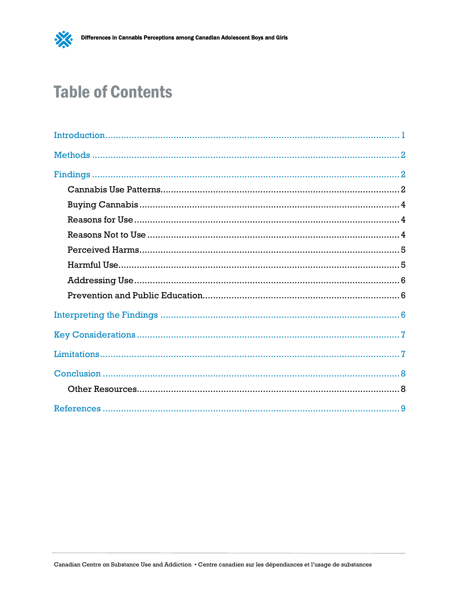

# **Table of Contents**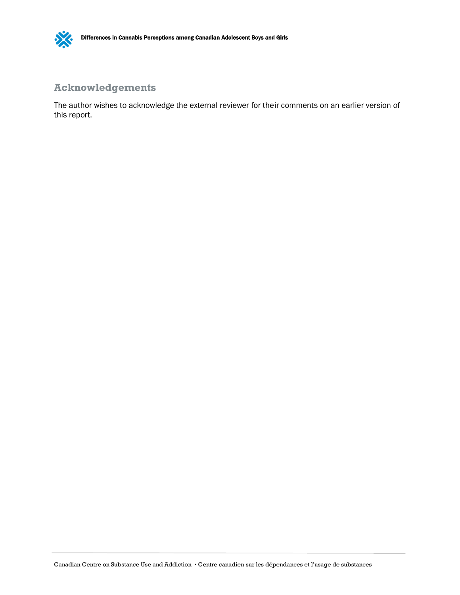

### **[Acknowle](#page-12-1)dgements**

The author wishes to acknowledge the external reviewer for their comments on an earlier version of this report.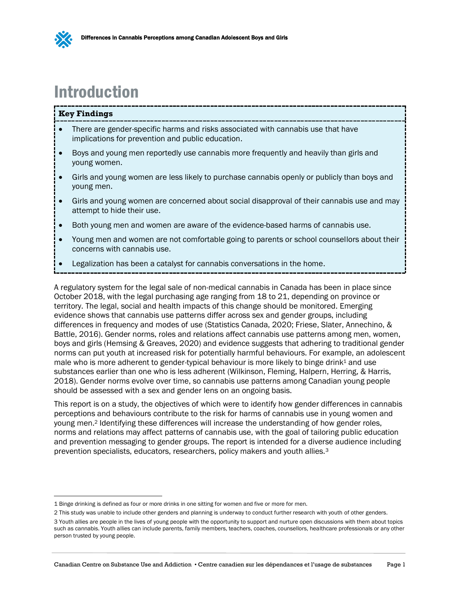

## <span id="page-4-1"></span><span id="page-4-0"></span>Introduction

#### **Key Findings**

- There are gender-specific harms and risks associated with cannabis use that have implications for prevention and public education.
- Boys and young men reportedly use cannabis more frequently and heavily than girls and young women.
- Girls and young women are less likely to purchase cannabis openly or publicly than boys and young men.
- Girls and young women are concerned about social disapproval of their cannabis use and may attempt to hide their use.
- Both young men and women are aware of the evidence-based harms of cannabis use.
- Young men and women are not comfortable going to parents or school counsellors about their concerns with cannabis use.
- Legalization has been a catalyst for cannabis conversations in the home.

A regulatory system for the legal sale of non-medical cannabis in Canada has been in place since October 2018, with the legal purchasing age ranging from 18 to 21, depending on province or territory. The legal, social and health impacts of this change should be monitored. Emerging evidence shows that cannabis use patterns differ across sex and gender groups, including differences in frequency and modes of use (Statistics Canada, 2020; Friese, Slater, Annechino, & Battle, 2016). Gender norms, roles and relations affect cannabis use patterns among men, women, boys and girls (Hemsing & Greaves, 2020) and evidence suggests that adhering to traditional gender norms can put youth at increased risk for potentially harmful behaviours. For example, an adolescent male who is more adherent to gender-typical behaviour is more likely to binge drink<sup>1</sup> and use substances earlier than one who is less adherent (Wilkinson, Fleming, Halpern, Herring, & Harris, 2018). Gender norms evolve over time, so cannabis use patterns among Canadian young people should be assessed with a sex and gender lens on an ongoing basis.

This report is on a study, the objectives of which were to identify how gender differences in cannabis perceptions and behaviours contribute to the risk for harms of cannabis use in young women and young men.<sup>2</sup> Identifying these differences will increase the understanding of how gender roles, norms and relations may affect patterns of cannabis use, with the goal of tailoring public education and prevention messaging to gender groups. The report is intended for a diverse audience including prevention specialists, educators, researchers, policy makers and youth allies.<sup>3</sup>

<sup>1</sup> Binge drinking is defined as four or more drinks in one sitting for women and five or more for men.

<sup>2</sup> This study was unable to include other genders and planning is underway to conduct further research with youth of other genders.

<sup>3</sup> Youth allies are people in the lives of young people with the opportunity to support and nurture open discussions with them about topics such as cannabis. Youth allies can include parents, family members, teachers, coaches, counsellors, healthcare professionals or any other person trusted by young people.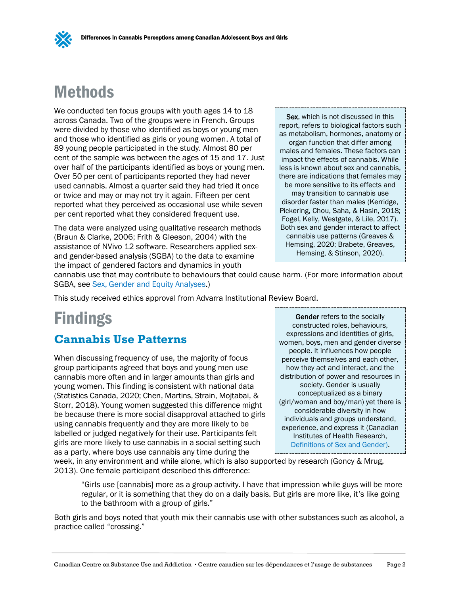## <span id="page-5-3"></span><span id="page-5-0"></span>Methods

We conducted ten focus groups with youth ages 14 to 18 across Canada. Two of the groups were in French. Groups were divided by those who identified as boys or young men and those who identified as girls or young women. A total of 89 young people participated in the study. Almost 80 per cent of the sample was between the ages of 15 and 17. Just over half of the participants identified as boys or young men. Over 50 per cent of participants reported they had never used cannabis. Almost a quarter said they had tried it once or twice and may or may not try it again. Fifteen per cent reported what they perceived as occasional use while seven per cent reported what they considered frequent use.

The data were analyzed using qualitative research methods (Braun & Clarke, 2006; Frith & Gleeson, 2004) with the assistance of NVivo 12 software. Researchers applied sexand gender-based analysis (SGBA) to the data to examine the impact of gendered factors and dynamics in youth

Sex, which is not discussed in this report, refers to biological factors such as metabolism, hormones, anatomy or organ function that differ among males and females. These factors can impact the effects of cannabis. While less is known about sex and cannabis, there are indications that females may be more sensitive to its effects and may transition to cannabis use disorder faster than males (Kerridge, Pickering, Chou, Saha, & Hasin, 2018; Fogel, Kelly, Westgate, & Lile, 2017). Both sex and gender interact to affect cannabis use patterns (Greaves & Hemsing, 2020; Brabete, Greaves, Hemsing, & Stinson, 2020).

cannabis use that may contribute to behaviours that could cause harm. (For more information about SGBA, se[e Sex, Gender and Equity Analyses.](https://www.ccsa.ca/sites/default/files/2020-01/CCSA-Sex-Gender-Equity-Analysis-Report-2020-en.pdf))

This study received ethics approval from Advarra Institutional Review Board.

## <span id="page-5-4"></span><span id="page-5-1"></span>**Findings**

#### <span id="page-5-2"></span>**Cannabis Use Patterns**

When discussing frequency of use, the majority of focus group participants agreed that boys and young men use cannabis more often and in larger amounts than girls and young women. This finding is consistent with national data (Statistics Canada, 2020; Chen, Martins, Strain, Mojtabai, & Storr, 2018). Young women suggested this difference might be because there is more social disapproval attached to girls using cannabis frequently and they are more likely to be labelled or judged negatively for their use. Participants felt girls are more likely to use cannabis in a social setting such as a party, where boys use cannabis any time during the

<span id="page-5-5"></span>Gender refers to the socially constructed roles, behaviours, expressions and identities of girls, women, boys, men and gender diverse people. It influences how people perceive themselves and each other, how they act and interact, and the distribution of power and resources in society. Gender is usually conceptualized as a binary (girl/woman and boy/man) yet there is considerable diversity in how individuals and groups understand, experience, and express it (Canadian Institutes of Health Research, [Definitions of Sex and Gender\)](https://cihr-irsc.gc.ca/e/47830.html).

week, in any environment and while alone, which is also supported by research (Goncy & Mrug, 2013). One female participant described this difference:

"Girls use [cannabis] more as a group activity. I have that impression while guys will be more regular, or it is something that they do on a daily basis. But girls are more like, it's like going to the bathroom with a group of girls."

Both girls and boys noted that youth mix their cannabis use with other substances such as alcohol, a practice called "crossing."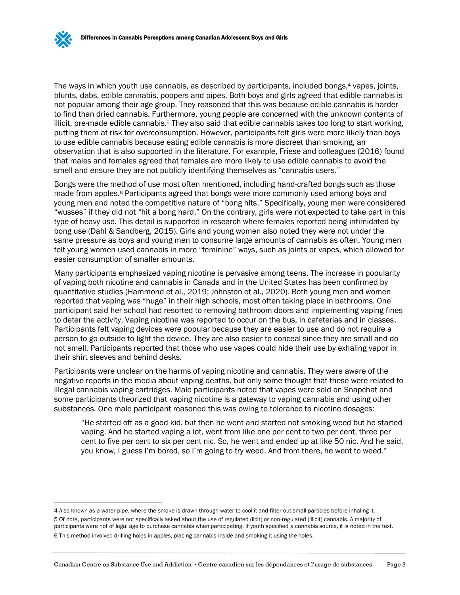The ways in which youth use cannabis, as described by participants, included bongs, <sup>4</sup> vapes, joints, blunts, dabs, edible cannabis, poppers and pipes. Both boys and girls agreed that edible cannabis is not popular among their age group. They reasoned that this was because edible cannabis is harder to find than dried cannabis. Furthermore, young people are concerned with the unknown contents of illicit, pre-made edible cannabis.<sup>5</sup> They also said that edible cannabis takes too long to start working, putting them at risk for overconsumption. However, participants felt girls were more likely than boys to use edible cannabis because eating edible cannabis is more discreet than smoking, an observation that is also supported in the literature. For example, Friese and colleagues (2016) found that males and females agreed that females are more likely to use edible cannabis to avoid the smell and ensure they are not publicly identifying themselves as "cannabis users."

Bongs were the method of use most often mentioned, including hand-crafted bongs such as those made from apples. <sup>6</sup> Participants agreed that bongs were more commonly used among boys and young men and noted the competitive nature of "bong hits." Specifically, young men were considered "wusses" if they did not "hit a bong hard." On the contrary, girls were not expected to take part in this type of heavy use. This detail is supported in research where females reported being intimidated by bong use (Dahl & Sandberg, 2015). Girls and young women also noted they were not under the same pressure as boys and young men to consume large amounts of cannabis as often. Young men felt young women used cannabis in more "feminine" ways, such as joints or vapes, which allowed for easier consumption of smaller amounts.

Many participants emphasized vaping nicotine is pervasive among teens. The increase in popularity of vaping both nicotine and cannabis in Canada and in the United States has been confirmed by quantitative studies (Hammond et al., 2019; Johnston et al., 2020). Both young men and women reported that vaping was "huge" in their high schools, most often taking place in bathrooms. One participant said her school had resorted to removing bathroom doors and implementing vaping fines to deter the activity. Vaping nicotine was reported to occur on the bus, in cafeterias and in classes. Participants felt vaping devices were popular because they are easier to use and do not require a person to go outside to light the device. They are also easier to conceal since they are small and do not smell. Participants reported that those who use vapes could hide their use by exhaling vapor in their shirt sleeves and behind desks.

Participants were unclear on the harms of vaping nicotine and cannabis. They were aware of the negative reports in the media about vaping deaths, but only some thought that these were related to illegal cannabis vaping cartridges. Male participants noted that vapes were sold on Snapchat and some participants theorized that vaping nicotine is a gateway to vaping cannabis and using other substances. One male participant reasoned this was owing to tolerance to nicotine dosages:

"He started off as a good kid, but then he went and started not smoking weed but he started vaping. And he started vaping a lot, went from like one per cent to two per cent, three per cent to five per cent to six per cent nic. So, he went and ended up at like 50 nic. And he said, you know, I guess I'm bored, so I'm going to try weed. And from there, he went to weed."

<sup>4</sup> Also known as a water pipe, where the smoke is drawn through water to cool it and filter out small particles before inhaling it. 5 Of note, participants were not specifically asked about the use of regulated (licit) or non-regulated (illicit) cannabis. A majority of participants were not of legal age to purchase cannabis when participating. If youth specified a cannabis source, it is noted in the text. 6 This method involved drilling holes in apples, placing cannabis inside and smoking it using the holes.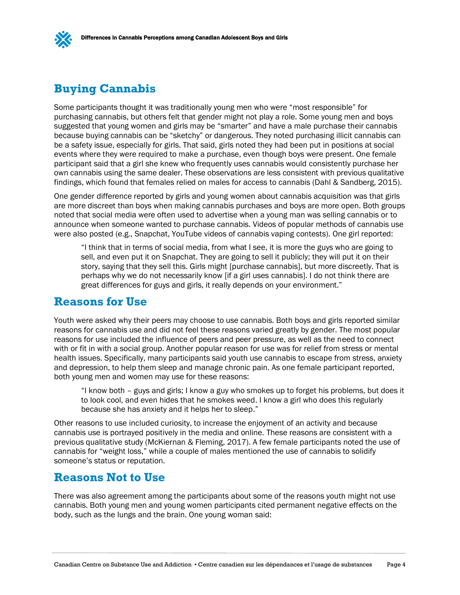### <span id="page-7-3"></span><span id="page-7-0"></span>**Buying Cannabis**

Some participants thought it was traditionally young men who were "most responsible" for purchasing cannabis, but others felt that gender might not play a role. Some young men and boys suggested that young women and girls may be "smarter" and have a male purchase their cannabis because buying cannabis can be "sketchy" or dangerous. They noted purchasing illicit cannabis can be a safety issue, especially for girls. That said, girls noted they had been put in positions at social events where they were required to make a purchase, even though boys were present. One female participant said that a girl she knew who frequently uses cannabis would consistently purchase her own cannabis using the same dealer. These observations are less consistent with previous qualitative findings, which found that females relied on males for access to cannabis (Dahl & Sandberg, 2015).

One gender difference reported by girls and young women about cannabis acquisition was that girls are more discreet than boys when making cannabis purchases and boys are more open. Both groups noted that social media were often used to advertise when a young man was selling cannabis or to announce when someone wanted to purchase cannabis. Videos of popular methods of cannabis use were also posted (e.g., Snapchat, YouTube videos of cannabis vaping contests). One girl reported:

<span id="page-7-4"></span>"I think that in terms of social media, from what I see, it is more the guys who are going to sell, and even put it on Snapchat. They are going to sell it publicly; they will put it on their story, saying that they sell this. Girls might [purchase cannabis], but more discreetly. That is perhaps why we do not necessarily know [if a girl uses cannabis]. I do not think there are great differences for guys and girls, it really depends on your environment."

#### <span id="page-7-1"></span>**Reasons for Use**

Youth were asked why their peers may choose to use cannabis. Both boys and girls reported similar reasons for cannabis use and did not feel these reasons varied greatly by gender. The most popular reasons for use included the influence of peers and peer pressure, as well as the need to connect with or fit in with a social group. Another popular reason for use was for relief from stress or mental health issues. Specifically, many participants said youth use cannabis to escape from stress, anxiety and depression, to help them sleep and manage chronic pain. As one female participant reported, both young men and women may use for these reasons:

"I know both – guys and girls; I know a guy who smokes up to forget his problems, but does it to look cool, and even hides that he smokes weed. I know a girl who does this regularly because she has anxiety and it helps her to sleep."

Other reasons to use included curiosity, to increase the enjoyment of an activity and because cannabis use is portrayed positively in the media and online. These reasons are consistent with a previous qualitative study (McKiernan & Fleming, 2017). A few female participants noted the use of cannabis for "weight loss," while a couple of males mentioned the use of cannabis to solidify someone's status or reputation.

#### <span id="page-7-5"></span><span id="page-7-2"></span>**Reasons Not to Use**

There was also agreement among the participants about some of the reasons youth might not use cannabis. Both young men and young women participants cited permanent negative effects on the body, such as the lungs and the brain. One young woman said: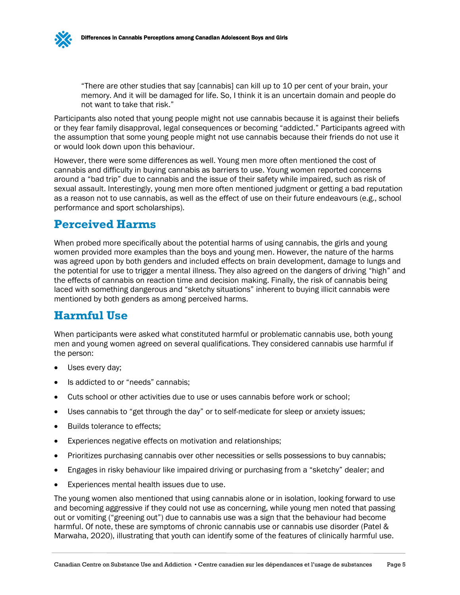"There are other studies that say [cannabis] can kill up to 10 per cent of your brain, your memory. And it will be damaged for life. So, I think it is an uncertain domain and people do not want to take that risk."

Participants also noted that young people might not use cannabis because it is against their beliefs or they fear family disapproval, legal consequences or becoming "addicted." Participants agreed with the assumption that some young people might not use cannabis because their friends do not use it or would look down upon this behaviour.

However, there were some differences as well. Young men more often mentioned the cost of cannabis and difficulty in buying cannabis as barriers to use. Young women reported concerns around a "bad trip" due to cannabis and the issue of their safety while impaired, such as risk of sexual assault. Interestingly, young men more often mentioned judgment or getting a bad reputation as a reason not to use cannabis, as well as the effect of use on their future endeavours (e.g., school performance and sport scholarships).

### <span id="page-8-2"></span><span id="page-8-0"></span>**Perceived Harms**

When probed more specifically about the potential harms of using cannabis, the girls and young women provided more examples than the boys and young men. However, the nature of the harms was agreed upon by both genders and included effects on brain development, damage to lungs and the potential for use to trigger a mental illness. They also agreed on the dangers of driving "high" and the effects of cannabis on reaction time and decision making. Finally, the risk of cannabis being laced with something dangerous and "sketchy situations" inherent to buying illicit cannabis were mentioned by both genders as among perceived harms.

### <span id="page-8-3"></span><span id="page-8-1"></span>**Harmful Use**

When participants were asked what constituted harmful or problematic cannabis use, both young men and young women agreed on several qualifications. They considered cannabis use harmful if the person:

- Uses every day;
- Is addicted to or "needs" cannabis;
- Cuts school or other activities due to use or uses cannabis before work or school;
- Uses cannabis to "get through the day" or to self-medicate for sleep or anxiety issues;
- Builds tolerance to effects;
- Experiences negative effects on motivation and relationships;
- Prioritizes purchasing cannabis over other necessities or sells possessions to buy cannabis;
- Engages in risky behaviour like impaired driving or purchasing from a "sketchy" dealer; and
- Experiences mental health issues due to use.

The young women also mentioned that using cannabis alone or in isolation, looking forward to use and becoming aggressive if they could not use as concerning, while young men noted that passing out or vomiting ("greening out") due to cannabis use was a sign that the behaviour had become harmful. Of note, these are symptoms of chronic cannabis use or cannabis use disorder (Patel & Marwaha, 2020), illustrating that youth can identify some of the features of clinically harmful use.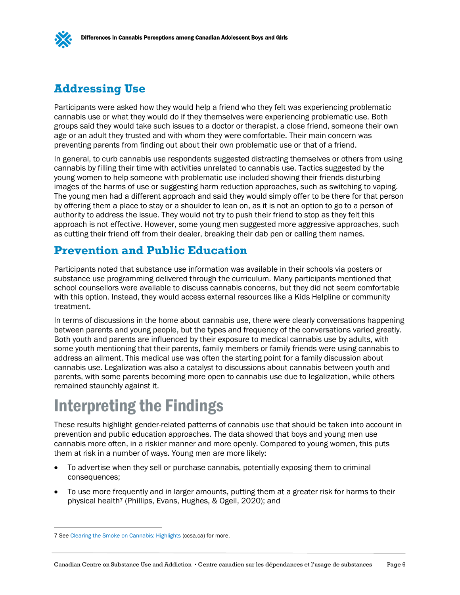### <span id="page-9-3"></span><span id="page-9-0"></span>**Addressing Use**

Participants were asked how they would help a friend who they felt was experiencing problematic cannabis use or what they would do if they themselves were experiencing problematic use. Both groups said they would take such issues to a doctor or therapist, a close friend, someone their own age or an adult they trusted and with whom they were comfortable. Their main concern was preventing parents from finding out about their own problematic use or that of a friend.

In general, to curb cannabis use respondents suggested distracting themselves or others from using cannabis by filling their time with activities unrelated to cannabis use. Tactics suggested by the young women to help someone with problematic use included showing their friends disturbing images of the harms of use or suggesting harm reduction approaches, such as switching to vaping. The young men had a different approach and said they would simply offer to be there for that person by offering them a place to stay or a shoulder to lean on, as it is not an option to go to a person of authority to address the issue. They would not try to push their friend to stop as they felt this approach is not effective. However, some young men suggested more aggressive approaches, such as cutting their friend off from their dealer, breaking their dab pen or calling them names.

### <span id="page-9-4"></span><span id="page-9-1"></span>**Prevention and Public Education**

Participants noted that substance use information was available in their schools via posters or substance use programming delivered through the curriculum. Many participants mentioned that school counsellors were available to discuss cannabis concerns, but they did not seem comfortable with this option. Instead, they would access external resources like a Kids Helpline or community treatment.

In terms of discussions in the home about cannabis use, there were clearly conversations happening between parents and young people, but the types and frequency of the conversations varied greatly. Both youth and parents are influenced by their exposure to medical cannabis use by adults, with some youth mentioning that their parents, family members or family friends were using cannabis to address an ailment. This medical use was often the starting point for a family discussion about cannabis use. Legalization was also a catalyst to discussions about cannabis between youth and parents, with some parents becoming more open to cannabis use due to legalization, while others remained staunchly against it.

# <span id="page-9-5"></span><span id="page-9-2"></span>Interpreting the Findings

These results highlight gender-related patterns of cannabis use that should be taken into account in prevention and public education approaches. The data showed that boys and young men use cannabis more often, in a riskier manner and more openly. Compared to young women, this puts them at risk in a number of ways. Young men are more likely:

- To advertise when they sell or purchase cannabis, potentially exposing them to criminal consequences;
- To use more frequently and in larger amounts, putting them at a greater risk for harms to their physical health<sup>7</sup> (Phillips, Evans, Hughes, & Ogeil, 2020); and

<sup>7</sup> Se[e Clearing the Smoke on Cannabis: Highlights](https://www.ccsa.ca/sites/default/files/2020-10/CCSA-Clearing-the-Smoke-on-Cannabis-Highlights-2020-en.pdf) (ccsa.ca) for more.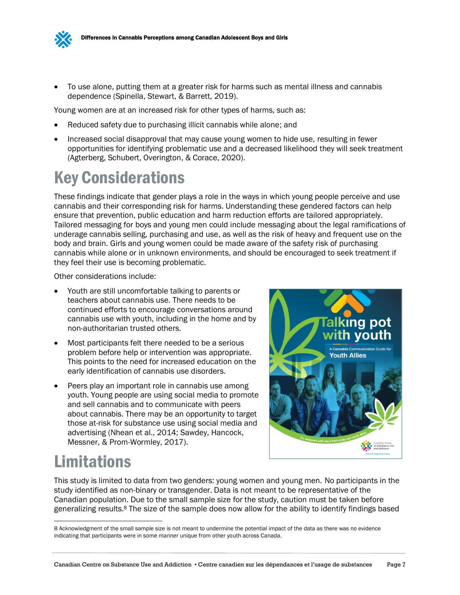

• To use alone, putting them at a greater risk for harms such as mental illness and cannabis dependence (Spinella, Stewart, & Barrett, 2019).

Young women are at an increased risk for other types of harms, such as:

- Reduced safety due to purchasing illicit cannabis while alone; and
- Increased social disapproval that may cause young women to hide use, resulting in fewer opportunities for identifying problematic use and a decreased likelihood they will seek treatment (Agterberg, Schubert, Overington, & Corace, 2020).

## <span id="page-10-2"></span><span id="page-10-0"></span>Key Considerations

These findings indicate that gender plays a role in the ways in which young people perceive and use cannabis and their corresponding risk for harms. Understanding these gendered factors can help ensure that prevention, public education and harm reduction efforts are tailored appropriately. Tailored messaging for boys and young men could include messaging about the legal ramifications of underage cannabis selling, purchasing and use, as well as the risk of heavy and frequent use on the body and brain. Girls and young women could be made aware of the safety risk of purchasing cannabis while alone or in unknown environments, and should be encouraged to seek treatment if they feel their use is becoming problematic.

Other considerations include:

- Youth are still uncomfortable talking to parents or teachers about cannabis use. There needs to be continued efforts to encourage conversations around cannabis use with youth, including in the home and by non-authoritarian trusted others.
- Most participants felt there needed to be a serious problem before help or intervention was appropriate. This points to the need for increased education on the early identification of cannabis use disorders.
- Peers play an important role in cannabis use among youth. Young people are using social media to promote and sell cannabis and to communicate with peers about cannabis. There may be an opportunity to target those at-risk for substance use using social media and advertising (Nhean et al., 2014; Sawdey, Hancock, Messner, & Prom-Wormley, 2017).



# <span id="page-10-3"></span><span id="page-10-1"></span>Limitations

This study is limited to data from two genders: young women and young men. No participants in the study identified as non-binary or transgender. Data is not meant to be representative of the Canadian population. Due to the small sample size for the study, caution must be taken before generalizing results.<sup>8</sup> The size of the sample does now allow for the ability to identify findings based

<sup>8</sup> Acknowledgment of the small sample size is not meant to undermine the potential impact of the data as there was no evidence indicating that participants were in some manner unique from other youth across Canada.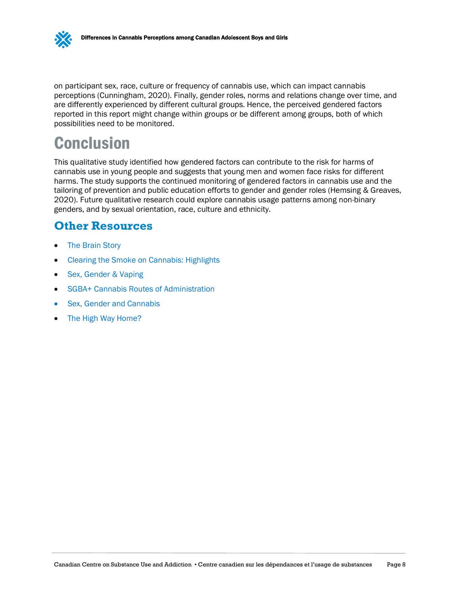

on participant sex, race, culture or frequency of cannabis use, which can impact cannabis perceptions (Cunningham, 2020). Finally, gender roles, norms and relations change over time, and are differently experienced by different cultural groups. Hence, the perceived gendered factors reported in this report might change within groups or be different among groups, both of which possibilities need to be monitored.

# <span id="page-11-2"></span><span id="page-11-0"></span>**Conclusion**

This qualitative study identified how gendered factors can contribute to the risk for harms of cannabis use in young people and suggests that young men and women face risks for different harms. The study supports the continued monitoring of gendered factors in cannabis use and the tailoring of prevention and public education efforts to gender and gender roles (Hemsing & Greaves, 2020). Future qualitative research could explore cannabis usage patterns among non-binary genders, and by sexual orientation, race, culture and ethnicity.

### <span id="page-11-3"></span><span id="page-11-1"></span>**Other Resources**

- [The Brain Story](https://www.albertafamilywellness.org/what-we-know/the-brain-story)
- [Clearing the Smoke on Cannabis: Highlights](https://www.ccsa.ca/clearing-smoke-cannabis-highlights)
- [Sex, Gender &](https://bccewh.bc.ca/wp-content/uploads/2020/05/Sex-Gender-Vaping-Info-Sheet.pdf) Vaping
- [SGBA+ Cannabis Routes of Administration](https://bccewh.bc.ca/wp-content/uploads/2020/04/Cannabis-SGBA-ROA-Toolkit_Part-1.pdf)
- [Sex, Gender and Cannabis](https://bccewh.bc.ca/wp-content/uploads/2020/05/CEWH-02-IGH-Handout_Cannabis.pdf)
- [The High Way Home?](https://thehighwayhome.ca/)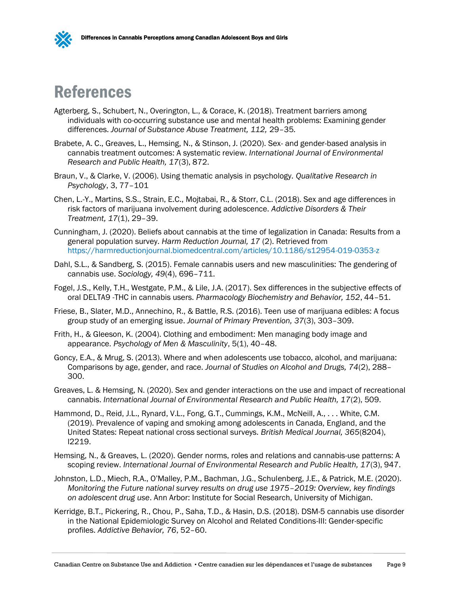

## <span id="page-12-1"></span><span id="page-12-0"></span>References

- Agterberg, S., Schubert, N., Overington, L., & Corace, K. (2018). Treatment barriers among individuals with co-occurring substance use and mental health problems: Examining gender differences. *Journal of Substance Abuse Treatment, 112,* 29–35*.*
- Brabete, A. C., Greaves, L., Hemsing, N., & Stinson, J. (2020). Sex- and gender-based analysis in cannabis treatment outcomes: A systematic review. *International Journal of Environmental Research and Public Health, 17*(3), 872.
- Braun, V., & Clarke, V. (2006). Using thematic analysis in psychology. *Qualitative Research in Psychology*, 3, 77–101
- Chen, L.-Y., Martins, S.S., Strain, E.C., Mojtabai, R., & Storr, C.L. (2018). Sex and age differences in risk factors of marijuana involvement during adolescence. *Addictive Disorders & Their Treatment, 17*(1), 29–39.
- Cunningham, J. (2020). Beliefs about cannabis at the time of legalization in Canada: Results from a general population survey. *Harm Reduction Journal, 17* (2). Retrieved from <https://harmreductionjournal.biomedcentral.com/articles/10.1186/s12954-019-0353-z>
- Dahl, S.L., & Sandberg, S. (2015). Female cannabis users and new masculinities: The gendering of cannabis use. *Sociology, 49*(4), 696–711.
- Fogel, J.S., Kelly, T.H., Westgate, P.M., & Lile, J.A. (2017). Sex differences in the subjective effects of oral DELTA9 -THC in cannabis users. *Pharmacology Biochemistry and Behavior, 152*, 44–51.
- Friese, B., Slater, M.D., Annechino, R., & Battle, R.S. (2016). Teen use of marijuana edibles: A focus group study of an emerging issue. *Journal of Primary Prevention, 37*(3), 303–309.
- Frith, H., & Gleeson, K. (2004). Clothing and embodiment: Men managing body image and appearance. *Psychology of Men & Masculinity*, 5(1), 40–48.
- Goncy, E.A., & Mrug, S. (2013). Where and when adolescents use tobacco, alcohol, and marijuana: Comparisons by age, gender, and race. *Journal of Studies on Alcohol and Drugs, 74*(2), 288– 300.
- Greaves, L. & Hemsing, N. (2020). Sex and gender interactions on the use and impact of recreational cannabis. *International Journal of Environmental Research and Public Health, 17*(2), 509.
- Hammond, D., Reid, J.L., Rynard, V.L., Fong, G.T., Cummings, K.M., McNeill, A., . . . White, C.M. (2019). Prevalence of vaping and smoking among adolescents in Canada, England, and the United States: Repeat national cross sectional surveys. *British Medical Journal, 365*(8204), l2219.
- Hemsing, N., & Greaves, L. (2020). Gender norms, roles and relations and cannabis-use patterns: A scoping review. *International Journal of Environmental Research and Public Health, 17*(3), 947.
- Johnston, L.D., Miech, R.A., O'Malley, P.M., Bachman, J.G., Schulenberg, J.E., & Patrick, M.E. (2020). *Monitoring the Future national survey results on drug use 1975–2019: Overview, key findings on adolescent drug use*. Ann Arbor: Institute for Social Research, University of Michigan.
- Kerridge, B.T., Pickering, R., Chou, P., Saha, T.D., & Hasin, D.S. (2018). DSM-5 cannabis use disorder in the National Epidemiologic Survey on Alcohol and Related Conditions-III: Gender-specific profiles. *Addictive Behavior, 76*, 52–60.